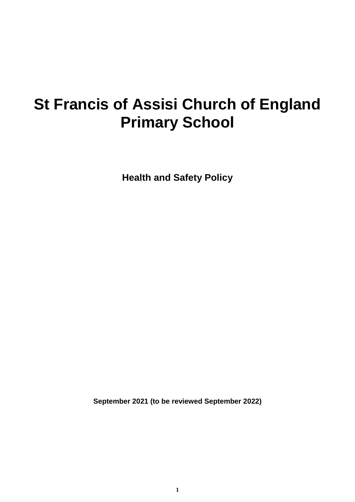# **St Francis of Assisi Church of England Primary School**

**Health and Safety Policy**

**September 2021 (to be reviewed September 2022)**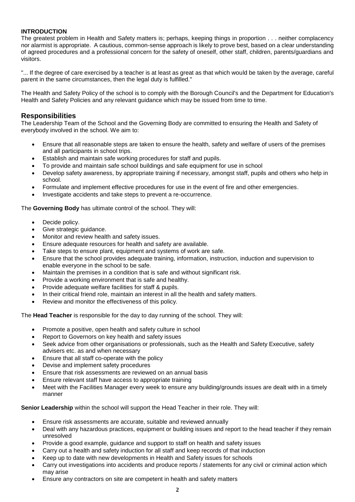# **INTRODUCTION**

The greatest problem in Health and Safety matters is; perhaps, keeping things in proportion . . . neither complacency nor alarmist is appropriate. A cautious, common-sense approach is likely to prove best, based on a clear understanding of agreed procedures and a professional concern for the safety of oneself, other staff, children, parents/guardians and visitors.

"... If the degree of care exercised by a teacher is at least as great as that which would be taken by the average, careful parent in the same circumstances, then the legal duty is fulfilled."

The Health and Safety Policy of the school is to comply with the Borough Council's and the Department for Education's Health and Safety Policies and any relevant guidance which may be issued from time to time.

# **Responsibilities**

The Leadership Team of the School and the Governing Body are committed to ensuring the Health and Safety of everybody involved in the school. We aim to:

- Ensure that all reasonable steps are taken to ensure the health, safety and welfare of users of the premises and all participants in school trips.
- Establish and maintain safe working procedures for staff and pupils.
- To provide and maintain safe school buildings and safe equipment for use in school
- Develop safety awareness, by appropriate training if necessary, amongst staff, pupils and others who help in school.
- Formulate and implement effective procedures for use in the event of fire and other emergencies.
- Investigate accidents and take steps to prevent a re-occurrence.

The **Governing Body** has ultimate control of the school. They will:

- Decide policy.
- Give strategic guidance.
- Monitor and review health and safety issues.
- Ensure adequate resources for health and safety are available.
- Take steps to ensure plant, equipment and systems of work are safe.
- Ensure that the school provides adequate training, information, instruction, induction and supervision to enable everyone in the school to be safe.
- Maintain the premises in a condition that is safe and without significant risk.
- Provide a working environment that is safe and healthy.
- Provide adequate welfare facilities for staff & pupils.
- In their critical friend role, maintain an interest in all the health and safety matters.
- Review and monitor the effectiveness of this policy.

The **Head Teacher** is responsible for the day to day running of the school. They will:

- Promote a positive, open health and safety culture in school
- Report to Governors on key health and safety issues
- Seek advice from other organisations or professionals, such as the Health and Safety Executive, safety advisers etc. as and when necessary
- Ensure that all staff co-operate with the policy
- Devise and implement safety procedures
- Ensure that risk assessments are reviewed on an annual basis
- Ensure relevant staff have access to appropriate training
- Meet with the Facilities Manager every week to ensure any building/grounds issues are dealt with in a timely manner

**Senior Leadership** within the school will support the Head Teacher in their role. They will:

- Ensure risk assessments are accurate, suitable and reviewed annually
- Deal with any hazardous practices, equipment or building issues and report to the head teacher if they remain unresolved
- Provide a good example, guidance and support to staff on health and safety issues
- Carry out a health and safety induction for all staff and keep records of that induction
- Keep up to date with new developments in Health and Safety issues for schools
- Carry out investigations into accidents and produce reports / statements for any civil or criminal action which may arise
- Ensure any contractors on site are competent in health and safety matters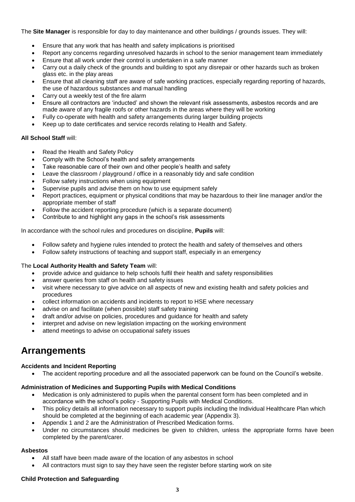The **Site Manager** is responsible for day to day maintenance and other buildings / grounds issues. They will:

- Ensure that any work that has health and safety implications is prioritised
- Report any concerns regarding unresolved hazards in school to the senior management team immediately
- Ensure that all work under their control is undertaken in a safe manner
- Carry out a daily check of the grounds and building to spot any disrepair or other hazards such as broken glass etc. in the play areas
- Ensure that all cleaning staff are aware of safe working practices, especially regarding reporting of hazards, the use of hazardous substances and manual handling
- Carry out a weekly test of the fire alarm
- Ensure all contractors are 'inducted' and shown the relevant risk assessments, asbestos records and are made aware of any fragile roofs or other hazards in the areas where they will be working
- Fully co-operate with health and safety arrangements during larger building projects
- Keep up to date certificates and service records relating to Health and Safety.

#### **All School Staff** will:

- Read the Health and Safety Policy
- Comply with the School's health and safety arrangements
- Take reasonable care of their own and other people's health and safety
- Leave the classroom / playground / office in a reasonably tidy and safe condition
- Follow safety instructions when using equipment
- Supervise pupils and advise them on how to use equipment safely
- Report practices, equipment or physical conditions that may be hazardous to their line manager and/or the appropriate member of staff
- Follow the accident reporting procedure (which is a separate document)
- Contribute to and highlight any gaps in the school's risk assessments

In accordance with the school rules and procedures on discipline, **Pupils** will:

- Follow safety and hygiene rules intended to protect the health and safety of themselves and others
- Follow safety instructions of teaching and support staff, especially in an emergency

#### The **Local Authority Health and Safety Team** will:

- provide advice and guidance to help schools fulfil their health and safety responsibilities
- answer queries from staff on health and safety issues
- visit where necessary to give advice on all aspects of new and existing health and safety policies and procedures
- collect information on accidents and incidents to report to HSE where necessary
- advise on and facilitate (when possible) staff safety training
- draft and/or advise on policies, procedures and guidance for health and safety
- interpret and advise on new legislation impacting on the working environment
- attend meetings to advise on occupational safety issues

# **Arrangements**

# **Accidents and Incident Reporting**

• The accident reporting procedure and all the associated paperwork can be found on the Council's website.

# **Administration of Medicines and Supporting Pupils with Medical Conditions**

- Medication is only administered to pupils when the parental consent form has been completed and in accordance with the school's policy - Supporting Pupils with Medical Conditions.
- This policy details all information necessary to support pupils including the Individual Healthcare Plan which should be completed at the beginning of each academic year (Appendix 3).
- Appendix 1 and 2 are the Administration of Prescribed Medication forms.
- Under no circumstances should medicines be given to children, unless the appropriate forms have been completed by the parent/carer.

#### **Asbestos**

- All staff have been made aware of the location of any asbestos in school
- All contractors must sign to say they have seen the register before starting work on site

#### **Child Protection and Safeguarding**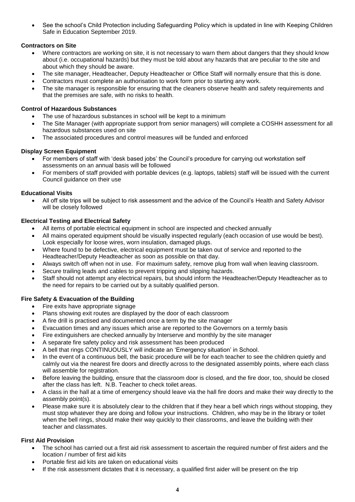• See the school's Child Protection including Safeguarding Policy which is updated in line with Keeping Children Safe in Education September 2019.

# **Contractors on Site**

- Where contractors are working on site, it is not necessary to warn them about dangers that they should know about (i.e. occupational hazards) but they must be told about any hazards that are peculiar to the site and about which they should be aware.
- The site manager, Headteacher, Deputy Headteacher or Office Staff will normally ensure that this is done.
- Contractors must complete an authorisation to work form prior to starting any work.
- The site manager is responsible for ensuring that the cleaners observe health and safety requirements and that the premises are safe, with no risks to health.

# **Control of Hazardous Substances**

- The use of hazardous substances in school will be kept to a minimum
- The Site Manager (with appropriate support from senior managers) will complete a COSHH assessment for all hazardous substances used on site
- The associated procedures and control measures will be funded and enforced

# **Display Screen Equipment**

- For members of staff with 'desk based jobs' the Council's procedure for carrying out workstation self assessments on an annual basis will be followed
- For members of staff provided with portable devices (e.g. laptops, tablets) staff will be issued with the current Council guidance on their use

# **Educational Visits**

• All off site trips will be subject to risk assessment and the advice of the Council's Health and Safety Advisor will be closely followed

# **Electrical Testing and Electrical Safety**

- All items of portable electrical equipment in school are inspected and checked annually
- All mains operated equipment should be visually inspected regularly (each occasion of use would be best). Look especially for loose wires, worn insulation, damaged plugs.
- Where found to be defective, electrical equipment must be taken out of service and reported to the Headteacher/Deputy Headteacher as soon as possible on that day.
- Always switch off when not in use. For maximum safety, remove plug from wall when leaving classroom.
- Secure trailing leads and cables to prevent tripping and slipping hazards.
- Staff should not attempt any electrical repairs, but should inform the Headteacher/Deputy Headteacher as to the need for repairs to be carried out by a suitably qualified person.

# **Fire Safety & Evacuation of the Building**

- Fire exits have appropriate signage
- Plans showing exit routes are displayed by the door of each classroom
- A fire drill is practised and documented once a term by the site manager
- Evacuation times and any issues which arise are reported to the Governors on a termly basis
- Fire extinguishers are checked annually by Interserve and monthly by the site manager
- A separate fire safety policy and risk assessment has been produced
- A bell that rings CONTINUOUSLY will indicate an 'Emergency situation' in School.
- In the event of a continuous bell, the basic procedure will be for each teacher to see the children quietly and calmly out via the nearest fire doors and directly across to the designated assembly points, where each class will assemble for registration.
- Before leaving the building, ensure that the classroom door is closed, and the fire door, too, should be closed after the class has left. N.B. Teacher to check toilet areas.
- A class in the hall at a time of emergency should leave via the hall fire doors and make their way directly to the assembly point(s).
- Please make sure it is absolutely clear to the children that if they hear a bell which rings without stopping, they must stop whatever they are doing and follow your instructions. Children, who may be in the library or toilet when the bell rings, should make their way quickly to their classrooms, and leave the building with their teacher and classmates.

# **First Aid Provision**

- The school has carried out a first aid risk assessment to ascertain the required number of first aiders and the location / number of first aid kits
- Portable first aid kits are taken on educational visits
- If the risk assessment dictates that it is necessary, a qualified first aider will be present on the trip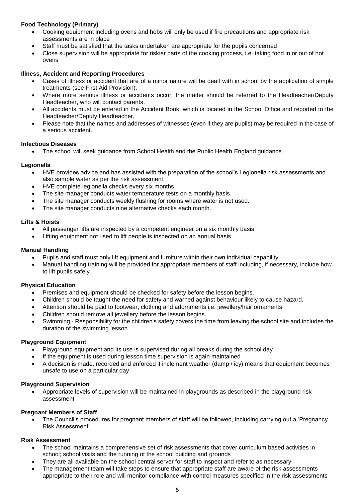# **Food Technology (Primary)**

- Cooking equipment including ovens and hobs will only be used if fire precautions and appropriate risk assessments are in place
- Staff must be satisfied that the tasks undertaken are appropriate for the pupils concerned
- Close supervision will be appropriate for riskier parts of the cooking process, i.e. taking food in or out of hot ovens

#### **Illness, Accident and Reporting Procedures**

- Cases of illness or accident that are of a minor nature will be dealt with in school by the application of simple treatments (see First Aid Provision).
- Where more serious illness or accidents occur, the matter should be referred to the Headteacher/Deputy Headteacher, who will contact parents.
- All accidents must be entered in the Accident Book, which is located in the School Office and reported to the Headteacher/Deputy Headteacher.
- Please note that the names and addresses of witnesses (even if they are pupils) may be required in the case of a serious accident.

#### **Infectious Diseases**

• The school will seek guidance from School Health and the Public Health England guidance.

#### **Legionella**

- HVE provides advice and has assisted with the preparation of the school's Legionella risk assessments and also sample water as per the risk assessment.
- HVE complete legionella checks every six months.
- The site manager conducts water temperature tests on a monthly basis.
- The site manager conducts weekly flushing for rooms where water is not used.
- The site manager conducts nine alternative checks each month.

#### **Lifts & Hoists**

- All passenger lifts are inspected by a competent engineer on a six monthly basis
- Lifting equipment not used to lift people is inspected on an annual basis

#### **Manual Handling**

- Pupils and staff must only lift equipment and furniture within their own individual capability
- Manual handling training will be provided for appropriate members of staff including, if necessary, include how to lift pupils safely

# **Physical Education**

- Premises and equipment should be checked for safety before the lesson begins.
- Children should be taught the need for safety and warned against behaviour likely to cause hazard.
- Attention should be paid to footwear, clothing and adornments i.e. jewellery/hair ornaments.
- Children should remove all jewellery before the lesson begins.
- Swimming Responsibility for the children's safety covers the time from leaving the school site and includes the duration of the swimming lesson.

#### **Playground Equipment**

- Playground equipment and its use is supervised during all breaks during the school day
- If the equipment is used during lesson time supervision is again maintained
- A decision is made, recorded and enforced if inclement weather (damp / icy) means that equipment becomes unsafe to use on a particular day

#### **Playground Supervision**

• Appropriate levels of supervision will be maintained in playgrounds as described in the playground risk assessment

# **Pregnant Members of Staff**

• The Council's procedures for pregnant members of staff will be followed, including carrying out a 'Pregnancy Risk Assessment'

# **Risk Assessment**

- The school maintains a comprehensive set of risk assessments that cover curriculum based activities in school; school visits and the running of the school building and grounds
- They are all available on the school central server for staff to inspect and refer to as necessary
- The management team will take steps to ensure that appropriate staff are aware of the risk assessments appropriate to their role and will monitor compliance with control measures specified in the risk assessments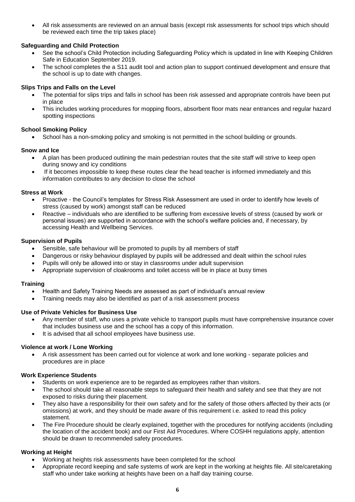• All risk assessments are reviewed on an annual basis (except risk assessments for school trips which should be reviewed each time the trip takes place)

# **Safeguarding and Child Protection**

- See the school's Child Protection including Safeguarding Policy which is updated in line with Keeping Children Safe in Education September 2019.
- The school completes the a S11 audit tool and action plan to support continued development and ensure that the school is up to date with changes.

# **Slips Trips and Falls on the Level**

- The potential for slips trips and falls in school has been risk assessed and appropriate controls have been put in place
- This includes working procedures for mopping floors, absorbent floor mats near entrances and regular hazard spotting inspections

# **School Smoking Policy**

• School has a non-smoking policy and smoking is not permitted in the school building or grounds.

#### **Snow and Ice**

- A plan has been produced outlining the main pedestrian routes that the site staff will strive to keep open during snowy and icy conditions
- If it becomes impossible to keep these routes clear the head teacher is informed immediately and this information contributes to any decision to close the school

#### **Stress at Work**

- Proactive the Council's templates for Stress Risk Assessment are used in order to identify how levels of stress (caused by work) amongst staff can be reduced
- Reactive individuals who are identified to be suffering from excessive levels of stress (caused by work or personal issues) are supported in accordance with the school's welfare policies and, if necessary, by accessing Health and Wellbeing Services.

#### **Supervision of Pupils**

- Sensible, safe behaviour will be promoted to pupils by all members of staff
- Dangerous or risky behaviour displayed by pupils will be addressed and dealt within the school rules
- Pupils will only be allowed into or stay in classrooms under adult supervision
- Appropriate supervision of cloakrooms and toilet access will be in place at busy times

#### **Training**

- Health and Safety Training Needs are assessed as part of individual's annual review
- Training needs may also be identified as part of a risk assessment process

#### **Use of Private Vehicles for Business Use**

- Any member of staff, who uses a private vehicle to transport pupils must have comprehensive insurance cover that includes business use and the school has a copy of this information.
- It is advised that all school employees have business use.

#### **Violence at work / Lone Working**

• A risk assessment has been carried out for violence at work and lone working - separate policies and procedures are in place

#### **Work Experience Students**

- Students on work experience are to be regarded as employees rather than visitors.
- The school should take all reasonable steps to safeguard their health and safety and see that they are not exposed to risks during their placement.
- They also have a responsibility for their own safety and for the safety of those others affected by their acts (or omissions) at work, and they should be made aware of this requirement i.e. asked to read this policy statement.
- The Fire Procedure should be clearly explained, together with the procedures for notifying accidents (including the location of the accident book) and our First Aid Procedures. Where COSHH regulations apply, attention should be drawn to recommended safety procedures.

# **Working at Height**

- Working at heights risk assessments have been completed for the school
- Appropriate record keeping and safe systems of work are kept in the working at heights file. All site/caretaking staff who under take working at heights have been on a half day training course.